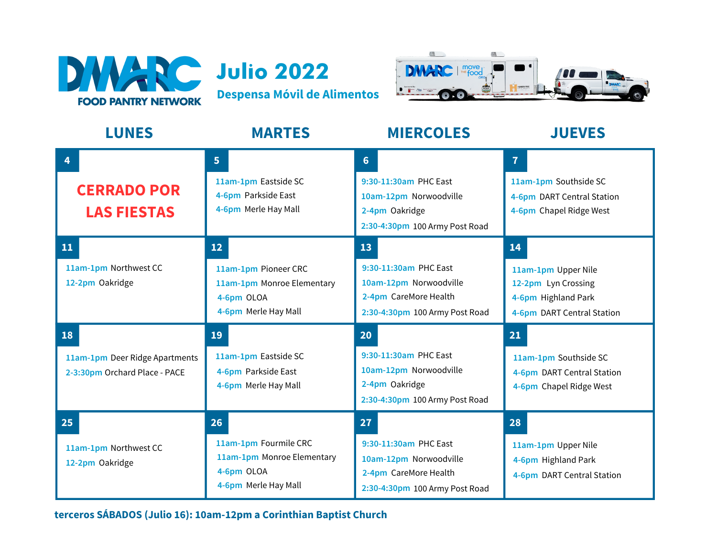





| <b>LUNES</b>                                                          | <b>MARTES</b>                                                                                   | <b>MIERCOLES</b>                                                                                                      | <b>JUEVES</b>                                                                                         |
|-----------------------------------------------------------------------|-------------------------------------------------------------------------------------------------|-----------------------------------------------------------------------------------------------------------------------|-------------------------------------------------------------------------------------------------------|
| 4<br><b>CERRADO POR</b><br><b>LAS FIESTAS</b>                         | 5 <sup>1</sup><br>11am-1pm Eastside SC<br>4-6pm Parkside East<br>4-6pm Merle Hay Mall           | 6 <sup>1</sup><br>9:30-11:30am PHC East<br>10am-12pm Norwoodville<br>2-4pm Oakridge<br>2:30-4:30pm 100 Army Post Road | $\overline{7}$<br>11am-1pm Southside SC<br>4-6pm DART Central Station<br>4-6pm Chapel Ridge West      |
| 11<br>11am-1pm Northwest CC<br>12-2pm Oakridge                        | 12<br>11am-1pm Pioneer CRC<br>11am-1pm Monroe Elementary<br>4-6pm OLOA<br>4-6pm Merle Hay Mall  | 13<br>9:30-11:30am PHC East<br>10am-12pm Norwoodville<br>2-4pm CareMore Health<br>2:30-4:30pm 100 Army Post Road      | 14<br>11am-1pm Upper Nile<br>12-2pm Lyn Crossing<br>4-6pm Highland Park<br>4-6pm DART Central Station |
| 18<br>11am-1pm Deer Ridge Apartments<br>2-3:30pm Orchard Place - PACE | 19<br>11am-1pm Eastside SC<br>4-6pm Parkside East<br>4-6pm Merle Hay Mall                       | 20<br>9:30-11:30am PHC East<br>10am-12pm Norwoodville<br>2-4pm Oakridge<br>2:30-4:30pm 100 Army Post Road             | 21<br>11am-1pm Southside SC<br>4-6pm DART Central Station<br>4-6pm Chapel Ridge West                  |
| 25<br>11am-1pm Northwest CC<br>12-2pm Oakridge                        | 26<br>11am-1pm Fourmile CRC<br>11am-1pm Monroe Elementary<br>4-6pm OLOA<br>4-6pm Merle Hay Mall | 27<br>9:30-11:30am PHC East<br>10am-12pm Norwoodville<br>2-4pm CareMore Health<br>2:30-4:30pm 100 Army Post Road      | 28<br>11am-1pm Upper Nile<br>4-6pm Highland Park<br>4-6pm DART Central Station                        |

**terceros SÁBADOS (Julio 16): 10am-12pm a Corinthian Baptist Church**